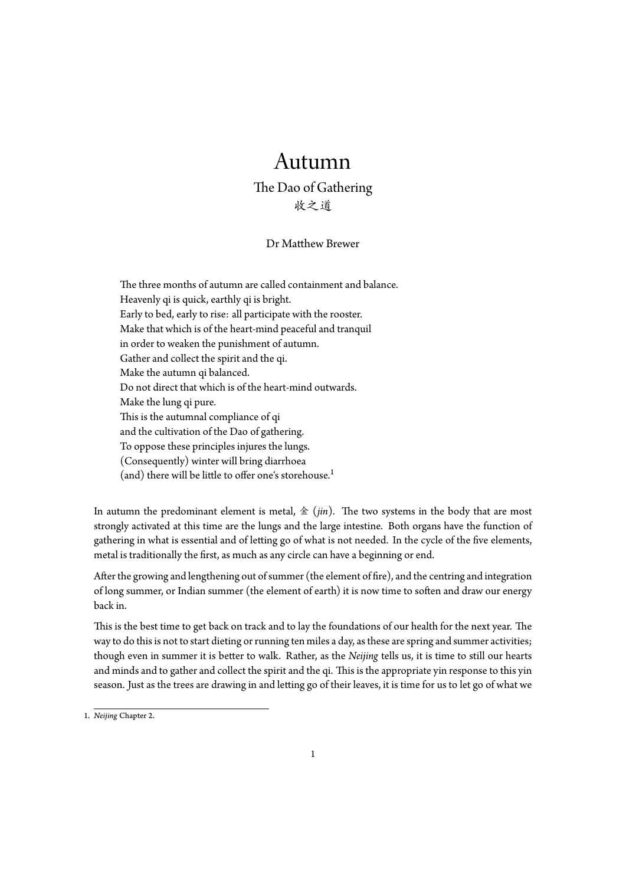## Autumn

## The Dao of Gathering 收之道

## Dr Matthew Brewer

The three months of autumn are called containment and balance. Heavenly qi is quick, earthly qi is bright. Early to bed, early to rise: all participate with the rooster. Make that which is of the heart-mind peaceful and tranquil in order to weaken the punishment of autumn. Gather and collect the spirit and the qi. Make the autumn qi balanced. Do not direct that which is of the heart-mind outwards. Make the lung qi pure. This is the autumnal compliance of qi and the cultivation of the Dao of gathering. To oppose these principles injures the lungs. (Consequently) winter will bring diarrhoea (and) there will be little to offer one's storehouse.<sup>1</sup>

In autumn the predominant element is metal, 金 (*jin*). The two systems in the body that are most strongly activated at this time are the lungs and the la[rg](#page-0-0)e intestine. Both organs have the function of gathering in what is essential and of letting go of what is not needed. In the cycle of the five elements, metal is traditionally the first, as much as any circle can have a beginning or end.

After the growing and lengthening out of summer (the element of fire), and the centring and integration of long summer, or Indian summer (the element of earth) it is now time to soften and draw our energy back in.

This is the best time to get back on track and to lay the foundations of our health for the next year. The way to do this is not to start dieting or running ten miles a day, as these are spring and summer activities; though even in summer it is better to walk. Rather, as the *Neijing* tells us, it is time to still our hearts and minds and to gather and collect the spirit and the qi. This is the appropriate yin response to this yin season. Just as the trees are drawing in and letting go of their leaves, it is time for us to let go of what we

<span id="page-0-0"></span><sup>1.</sup> *Neijing* Chapter 2.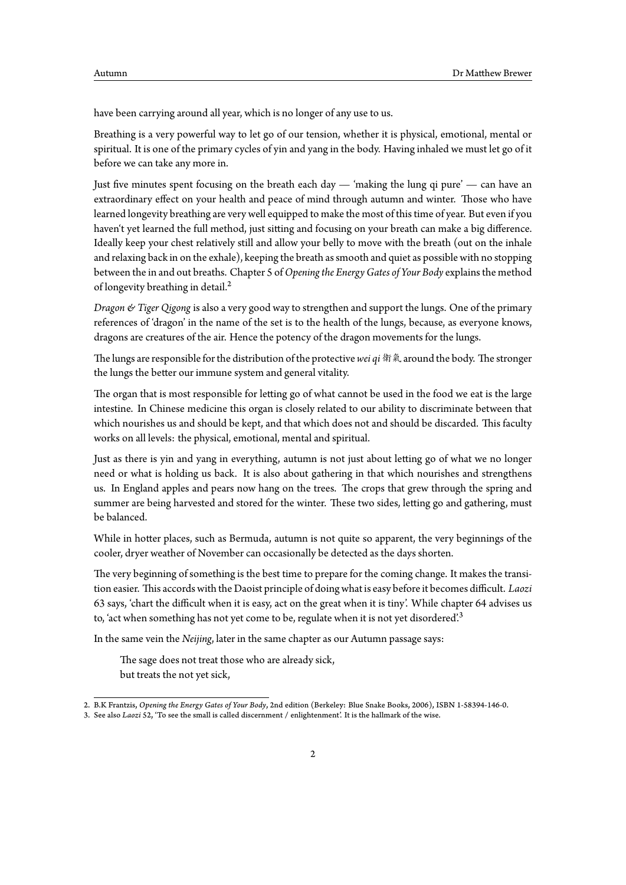have been carrying around all year, which is no longer of any use to us.

Breathing is a very powerful way to let go of our tension, whether it is physical, emotional, mental or spiritual. It is one of the primary cycles of yin and yang in the body. Having inhaled we must let go of it before we can take any more in.

Just five minutes spent focusing on the breath each day — 'making the lung qi pure' — can have an extraordinary effect on your health and peace of mind through autumn and winter. Those who have learned longevity breathing are very well equipped to make the most of this time of year. But even if you haven't yet learned the full method, just sitting and focusing on your breath can make a big difference. Ideally keep your chest relatively still and allow your belly to move with the breath (out on the inhale and relaxing back in on the exhale), keeping the breath as smooth and quiet as possible with no stopping between the in and out breaths. Chapter 5 of*Opening the Energy Gates of Your Body* explains the method of longevity breathing in detail.<sup>2</sup>

*Dragon & Tiger Qigong* is also a very good way to strengthen and support the lungs. One of the primary references of 'dragon' in the name of the set is to the health of the lungs, because, as everyone knows, dragons are creatures of the air. [H](#page-1-0)ence the potency of the dragon movements for the lungs.

The lungs are responsible for the distribution of the protective*wei qi* 衛氣 around the body. The stronger the lungs the better our immune system and general vitality.

The organ that is most responsible for letting go of what cannot be used in the food we eat is the large intestine. In Chinese medicine this organ is closely related to our ability to discriminate between that which nourishes us and should be kept, and that which does not and should be discarded. This faculty works on all levels: the physical, emotional, mental and spiritual.

Just as there is yin and yang in everything, autumn is not just about letting go of what we no longer need or what is holding us back. It is also about gathering in that which nourishes and strengthens us. In England apples and pears now hang on the trees. The crops that grew through the spring and summer are being harvested and stored for the winter. These two sides, letting go and gathering, must be balanced.

While in hotter places, such as Bermuda, autumn is not quite so apparent, the very beginnings of the cooler, dryer weather of November can occasionally be detected as the days shorten.

The very beginning of something is the best time to prepare for the coming change. It makes the transition easier. This accords with the Daoist principle of doing what is easy before it becomes difficult. *Laozi* 63 says, 'chart the difficult when it is easy, act on the great when it is tiny'. While chapter 64 advises us to, 'act when something has not yet come to be, regulate when it is not yet disordered'.<sup>3</sup>

In the same vein the *Neijing*, later in the same chapter as our Autumn passage says:

The sage does not treat those who are already sick, but treats the not yet sick,

<sup>2.</sup> B.K Frantzis, *Opening the Energy Gates of Your Body*, 2nd edition (Berkeley: Blue Snake Books, 2006), ISBN 1-58394-146-0.

<span id="page-1-0"></span><sup>3.</sup> See also *Laozi* 52, 'To see the small is called discernment / enlightenment'. It is the hallmark of the wise.